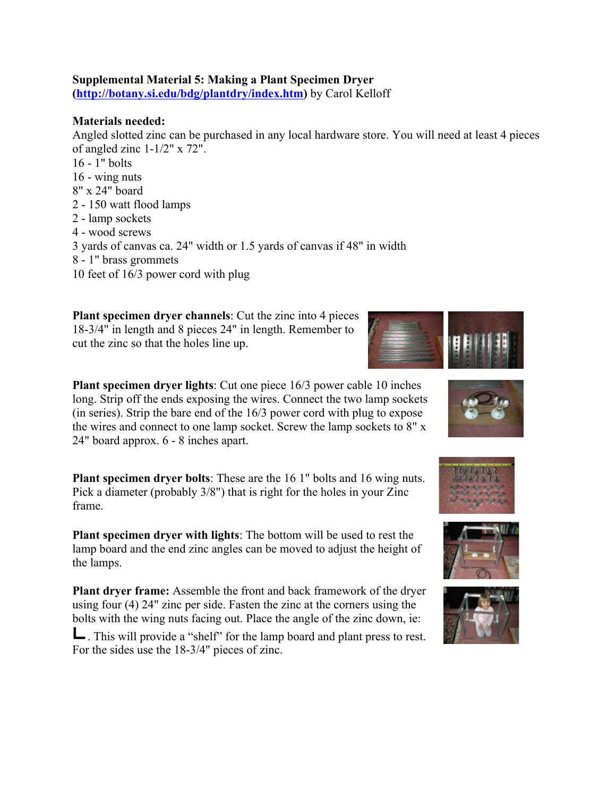## **Supplemental Material 5: Making a Plant Specimen Dryer**

**(http://botany.si.edu/bdg/plantdry/index.htm)** by Carol Kelloff

## **Materials needed:**

Angled slotted zinc can be purchased in any local hardware store. You will need at least 4 pieces of angled zinc 1-1/2" x 72". 16 - 1" bolts 16 - wing nuts 8" x 24" board 2 - 150 watt flood lamps 2 - lamp sockets 4 - wood screws 3 yards of canvas ca. 24" width or 1.5 yards of canvas if 48" in width 8 - 1" brass grommets 10 feet of 16/3 power cord with plug

**Plant specimen dryer channels**: Cut the zinc into 4 pieces 18-3/4" in length and 8 pieces 24" in length. Remember to cut the zinc so that the holes line up.



**Plant specimen dryer lights**: Cut one piece 16/3 power cable 10 inches long. Strip off the ends exposing the wires. Connect the two lamp sockets (in series). Strip the bare end of the 16/3 power cord with plug to expose the wires and connect to one lamp socket. Screw the lamp sockets to 8" x 24" board approx. 6 - 8 inches apart.

**Plant specimen dryer bolts**: These are the 16 1" bolts and 16 wing nuts. Pick a diameter (probably 3/8") that is right for the holes in your Zinc frame.

**Plant specimen dryer with lights**: The bottom will be used to rest the lamp board and the end zinc angles can be moved to adjust the height of the lamps.

**Plant dryer frame:** Assemble the front and back framework of the dryer using four (4) 24" zinc per side. Fasten the zinc at the corners using the bolts with the wing nuts facing out. Place the angle of the zinc down, ie:

. This will provide a "shelf" for the lamp board and plant press to rest. For the sides use the 18-3/4" pieces of zinc.